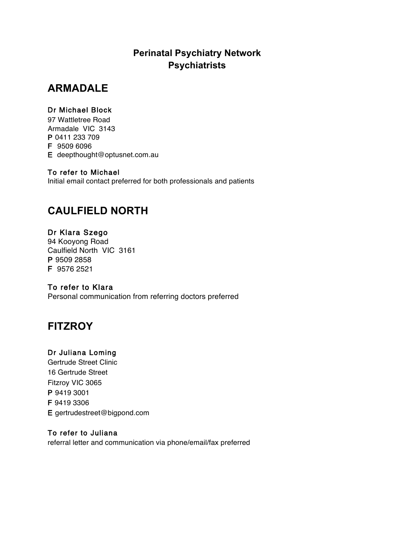## **Perinatal Psychiatry Network Psychiatrists**

# **ARMADALE**

### Dr Michael Block

97 Wattletree Road Armadale VIC 3143 P 0411 233 709 F 9509 6096 E deepthought@optusnet.com.au

### To refer to Michael

Initial email contact preferred for both professionals and patients

# **CAULFIELD NORTH**

## Dr Klara Szego

94 Kooyong Road Caulfield North VIC 3161 P 9509 2858 F 9576 2521

## To refer to Klara

Personal communication from referring doctors preferred

# **FITZROY**

## Dr Juliana Loming

Gertrude Street Clinic 16 Gertrude Street Fitzroy VIC 3065 P 9419 3001 F 9419 3306 E gertrudestreet@bigpond.com

### To refer to Juliana

referral letter and communication via phone/email/fax preferred